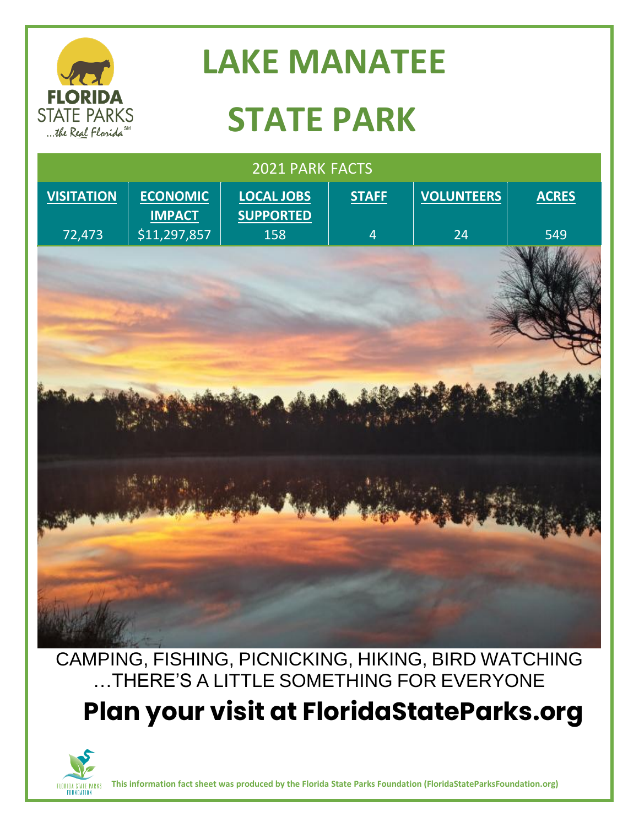

## **LAKE MANATEE**

# **STATE PARK**

| 2021 PARK FACTS   |                                  |                                       |                |                   |              |
|-------------------|----------------------------------|---------------------------------------|----------------|-------------------|--------------|
| <b>VISITATION</b> | <b>ECONOMIC</b><br><b>IMPACT</b> | <b>LOCAL JOBS</b><br><b>SUPPORTED</b> | <b>STAFF</b>   | <b>VOLUNTEERS</b> | <b>ACRES</b> |
| 72,473            | \$11,297,857                     | 158                                   | $\overline{4}$ | 24                | 549          |
|                   |                                  |                                       |                |                   |              |
|                   |                                  |                                       |                |                   |              |
|                   |                                  |                                       |                |                   |              |
|                   |                                  |                                       |                |                   |              |

CAMPING, FISHING, PICNICKING, HIKING, BIRD WATCHING …THERE'S A LITTLE SOMETHING FOR EVERYONE **Plan your visit at FloridaStateParks.org**



**This information fact sheet was produced by the Florida State Parks Foundation (FloridaStateParksFoundation.org)**